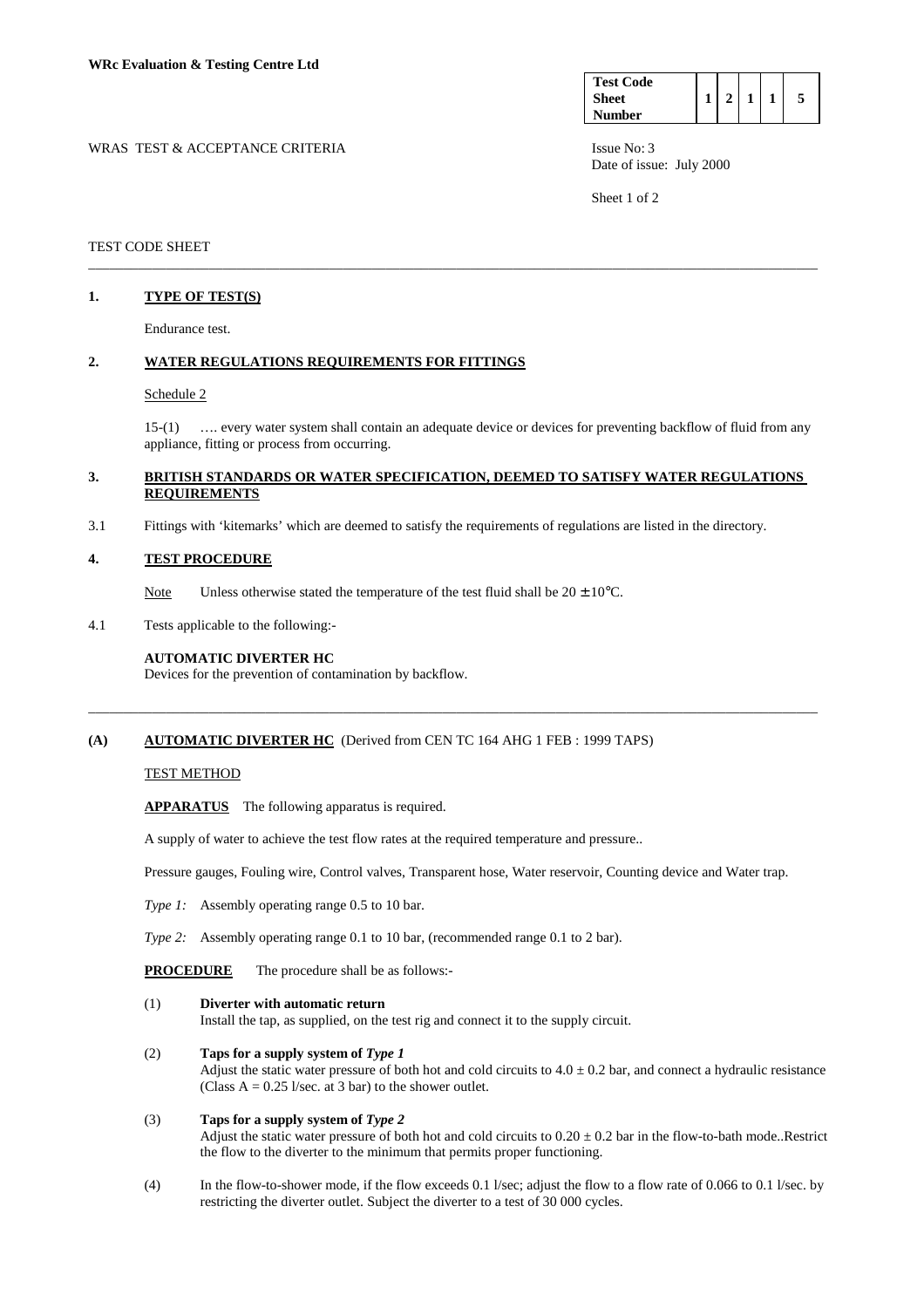| <b>Test Code</b> |  |  |  |
|------------------|--|--|--|
| Sheet            |  |  |  |
| <b>Number</b>    |  |  |  |

WRAS TEST & ACCEPTANCE CRITERIA ISSUE No: 3 Date of issue: July 2000

Sheet 1 of 2

## TEST CODE SHEET

# **1. TYPE OF TEST(S)**

Endurance test.

# **2. WATER REGULATIONS REQUIREMENTS FOR FITTINGS**

#### Schedule 2

 15-(1) …. every water system shall contain an adequate device or devices for preventing backflow of fluid from any appliance, fitting or process from occurring.

### **3. BRITISH STANDARDS OR WATER SPECIFICATION, DEEMED TO SATISFY WATER REGULATIONS REQUIREMENTS**

\_\_\_\_\_\_\_\_\_\_\_\_\_\_\_\_\_\_\_\_\_\_\_\_\_\_\_\_\_\_\_\_\_\_\_\_\_\_\_\_\_\_\_\_\_\_\_\_\_\_\_\_\_\_\_\_\_\_\_\_\_\_\_\_\_\_\_\_\_\_\_\_\_\_\_\_\_\_\_\_\_\_\_\_\_\_\_\_\_\_\_\_\_\_\_\_\_\_\_\_\_\_\_

3.1 Fittings with 'kitemarks' which are deemed to satisfy the requirements of regulations are listed in the directory.

#### **4. TEST PROCEDURE**

Note Unless otherwise stated the temperature of the test fluid shall be  $20 \pm 10^{\circ}$ C.

4.1 Tests applicable to the following:-

#### **AUTOMATIC DIVERTER HC**

Devices for the prevention of contamination by backflow.

## **(A) AUTOMATIC DIVERTER HC** (Derived from CEN TC 164 AHG 1 FEB : 1999 TAPS)

## TEST METHOD

 **APPARATUS** The following apparatus is required.

A supply of water to achieve the test flow rates at the required temperature and pressure..

Pressure gauges, Fouling wire, Control valves, Transparent hose, Water reservoir, Counting device and Water trap.

\_\_\_\_\_\_\_\_\_\_\_\_\_\_\_\_\_\_\_\_\_\_\_\_\_\_\_\_\_\_\_\_\_\_\_\_\_\_\_\_\_\_\_\_\_\_\_\_\_\_\_\_\_\_\_\_\_\_\_\_\_\_\_\_\_\_\_\_\_\_\_\_\_\_\_\_\_\_\_\_\_\_\_\_\_\_\_\_\_\_\_\_\_\_\_\_\_\_\_\_\_\_\_

- *Type 1:* Assembly operating range 0.5 to 10 bar.
- *Type 2:* Assembly operating range 0.1 to 10 bar, (recommended range 0.1 to 2 bar).
- **PROCEDURE** The procedure shall be as follows:-
- (1) **Diverter with automatic return**

Install the tap, as supplied, on the test rig and connect it to the supply circuit.

#### (2) **Taps for a supply system of** *Type 1*

Adjust the static water pressure of both hot and cold circuits to  $4.0 \pm 0.2$  bar, and connect a hydraulic resistance (Class  $A = 0.25$  l/sec. at 3 bar) to the shower outlet.

- (3) **Taps for a supply system of** *Type 2* Adjust the static water pressure of both hot and cold circuits to  $0.20 \pm 0.2$  bar in the flow-to-bath mode..Restrict the flow to the diverter to the minimum that permits proper functioning.
- (4) In the flow-to-shower mode, if the flow exceeds 0.1 l/sec; adjust the flow to a flow rate of 0.066 to 0.1 l/sec. by restricting the diverter outlet. Subject the diverter to a test of 30 000 cycles.